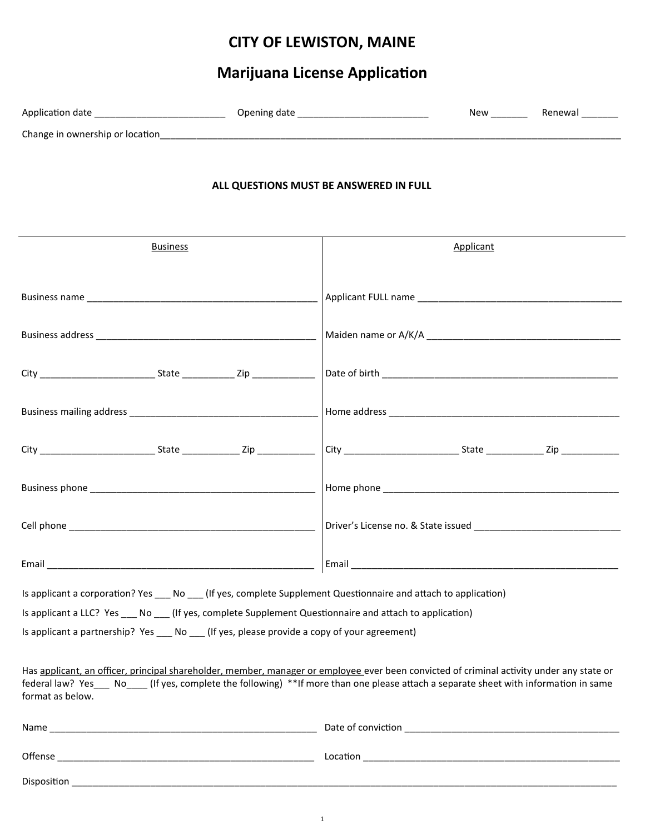## **CITY OF LEWISTON, MAINE**

# **Marijuana License Application**

| Application date                | Opening date | New | Renewa |
|---------------------------------|--------------|-----|--------|
| Change in ownership or location |              |     |        |

#### **ALL QUESTIONS MUST BE ANSWERED IN FULL**

| <b>Business</b>                                                                                                                                                                                                                                                                                                               | Applicant                                                                                                                                                                                                                           |  |  |
|-------------------------------------------------------------------------------------------------------------------------------------------------------------------------------------------------------------------------------------------------------------------------------------------------------------------------------|-------------------------------------------------------------------------------------------------------------------------------------------------------------------------------------------------------------------------------------|--|--|
|                                                                                                                                                                                                                                                                                                                               |                                                                                                                                                                                                                                     |  |  |
|                                                                                                                                                                                                                                                                                                                               |                                                                                                                                                                                                                                     |  |  |
|                                                                                                                                                                                                                                                                                                                               |                                                                                                                                                                                                                                     |  |  |
|                                                                                                                                                                                                                                                                                                                               |                                                                                                                                                                                                                                     |  |  |
|                                                                                                                                                                                                                                                                                                                               |                                                                                                                                                                                                                                     |  |  |
|                                                                                                                                                                                                                                                                                                                               |                                                                                                                                                                                                                                     |  |  |
|                                                                                                                                                                                                                                                                                                                               |                                                                                                                                                                                                                                     |  |  |
|                                                                                                                                                                                                                                                                                                                               |                                                                                                                                                                                                                                     |  |  |
| Is applicant a corporation? Yes ___ No __ (If yes, complete Supplement Questionnaire and attach to application)<br>Is applicant a LLC? Yes ___ No ___ (If yes, complete Supplement Questionnaire and attach to application)<br>Is applicant a partnership? Yes ____ No ____ (If yes, please provide a copy of your agreement) |                                                                                                                                                                                                                                     |  |  |
| Has applicant, an officer, principal shareholder, member, manager or employee ever been convicted of criminal activity under any state or<br>federal law? Yes ___ No ___ (If yes, complete the following) **If more than one please attach a separate sheet with information in same<br>format as below.                      |                                                                                                                                                                                                                                     |  |  |
|                                                                                                                                                                                                                                                                                                                               |                                                                                                                                                                                                                                     |  |  |
|                                                                                                                                                                                                                                                                                                                               | Location <b>Andrew Management Control</b> to the control of the control to the control of the control of the control of the control of the control of the control of the control of the control of the control of the control of th |  |  |
|                                                                                                                                                                                                                                                                                                                               |                                                                                                                                                                                                                                     |  |  |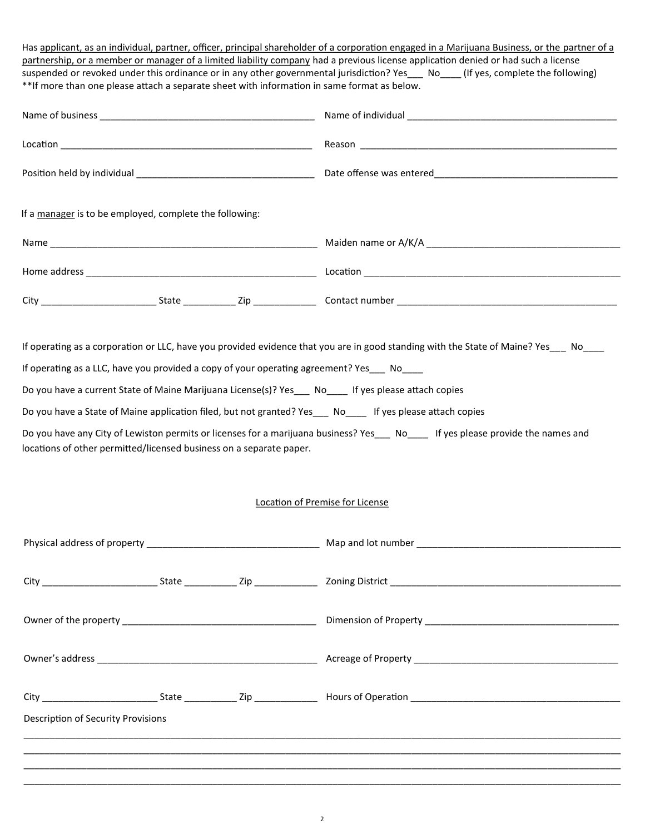| partnership, or a member or manager of a limited liability company had a previous license application denied or had such a license<br>suspended or revoked under this ordinance or in any other governmental jurisdiction? Yes__ No__(If yes, complete the following)<br>**If more than one please attach a separate sheet with information in same format as below. | Has applicant, as an individual, partner, officer, principal shareholder of a corporation engaged in a Marijuana Business, or the partner of a |  |  |
|----------------------------------------------------------------------------------------------------------------------------------------------------------------------------------------------------------------------------------------------------------------------------------------------------------------------------------------------------------------------|------------------------------------------------------------------------------------------------------------------------------------------------|--|--|
|                                                                                                                                                                                                                                                                                                                                                                      |                                                                                                                                                |  |  |
|                                                                                                                                                                                                                                                                                                                                                                      |                                                                                                                                                |  |  |
|                                                                                                                                                                                                                                                                                                                                                                      |                                                                                                                                                |  |  |
| If a manager is to be employed, complete the following:                                                                                                                                                                                                                                                                                                              |                                                                                                                                                |  |  |
|                                                                                                                                                                                                                                                                                                                                                                      |                                                                                                                                                |  |  |
|                                                                                                                                                                                                                                                                                                                                                                      |                                                                                                                                                |  |  |
|                                                                                                                                                                                                                                                                                                                                                                      |                                                                                                                                                |  |  |
| Do you have a State of Maine application filed, but not granted? Yes____ No_____ If yes please attach copies<br>Do you have any City of Lewiston permits or licenses for a marijuana business? Yes___ No____ If yes please provide the names and<br>locations of other permitted/licensed business on a separate paper.                                              | Location of Premise for License                                                                                                                |  |  |
|                                                                                                                                                                                                                                                                                                                                                                      |                                                                                                                                                |  |  |
|                                                                                                                                                                                                                                                                                                                                                                      |                                                                                                                                                |  |  |
|                                                                                                                                                                                                                                                                                                                                                                      |                                                                                                                                                |  |  |
|                                                                                                                                                                                                                                                                                                                                                                      |                                                                                                                                                |  |  |
|                                                                                                                                                                                                                                                                                                                                                                      |                                                                                                                                                |  |  |
| Description of Security Provisions                                                                                                                                                                                                                                                                                                                                   | ,我们的人们也不能在这里的人们,我们也不能在这里的人们,我们也不能在这里的人们,我们也不能在这里的人们,我们也不能在这里的人们,我们也不能在这里的人们,我们也不                                                               |  |  |
|                                                                                                                                                                                                                                                                                                                                                                      |                                                                                                                                                |  |  |
|                                                                                                                                                                                                                                                                                                                                                                      |                                                                                                                                                |  |  |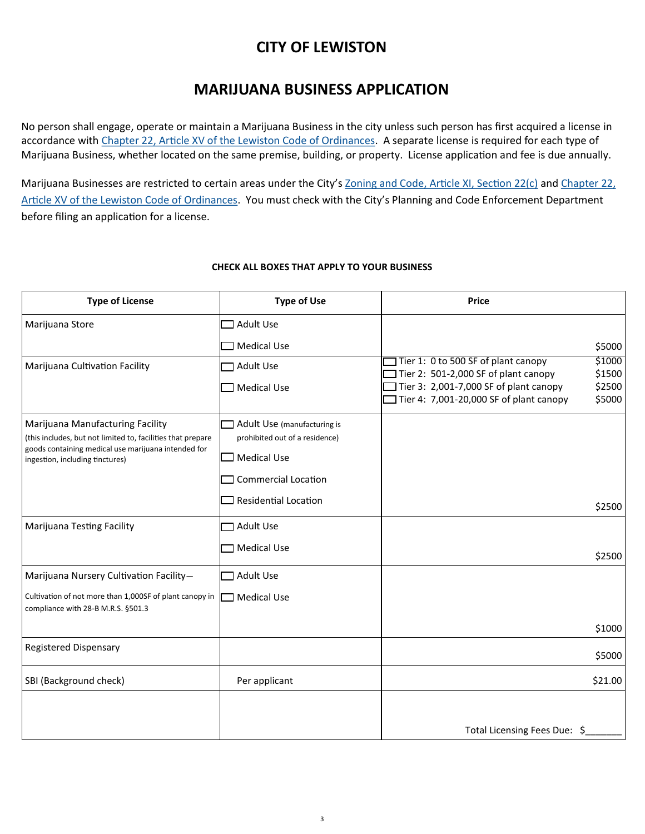### **CITY OF LEWISTON**

#### **MARIJUANA BUSINESS APPLICATION**

No person shall engage, operate or maintain a Marijuana Business in the city unless such person has first acquired a license in accordance with [Chapter 22, Article XV of the Lewiston Code of Ordinances.](https://www.lewistonmaine.gov/DocumentCenter/View/197/Chapter-22?bidId=) A separate license is required for each type of Marijuana Business, whether located on the same premise, building, or property. License application and fee is due annually.

Marijuana Businesses are restricted to certain areas under the City's [Zoning and Code, Article XI, Section 22\(c\)](https://www.lewistonmaine.gov/DocumentCenter/View/249/Article-XI?bidId=) and Chapter 22, [Article XV of the Lewiston Code of Ordinances.](https://www.lewistonmaine.gov/DocumentCenter/View/197/Chapter-22?bidId=) You must check with the City's Planning and Code Enforcement Department before filing an application for a license.

#### **CHECK ALL BOXES THAT APPLY TO YOUR BUSINESS**

| <b>Type of License</b>                                                                                             | <b>Type of Use</b>             | <b>Price</b>                                                                                    |
|--------------------------------------------------------------------------------------------------------------------|--------------------------------|-------------------------------------------------------------------------------------------------|
| Marijuana Store                                                                                                    | Adult Use                      |                                                                                                 |
|                                                                                                                    | <b>Medical Use</b>             | \$5000                                                                                          |
| Marijuana Cultivation Facility                                                                                     | <b>Adult Use</b>               | Tier 1: 0 to 500 SF of plant canopy<br>\$1000<br>Tier 2: 501-2,000 SF of plant canopy<br>\$1500 |
|                                                                                                                    | <b>Medical Use</b>             | Tier 3: 2,001-7,000 SF of plant canopy<br>\$2500                                                |
|                                                                                                                    |                                | Tier 4: 7,001-20,000 SF of plant canopy<br>\$5000                                               |
| Marijuana Manufacturing Facility                                                                                   | Adult Use (manufacturing is    |                                                                                                 |
| (this includes, but not limited to, facilities that prepare<br>goods containing medical use marijuana intended for | prohibited out of a residence) |                                                                                                 |
| ingestion, including tinctures)                                                                                    | <b>Medical Use</b>             |                                                                                                 |
|                                                                                                                    | <b>Commercial Location</b>     |                                                                                                 |
|                                                                                                                    | <b>Residential Location</b>    | \$2500                                                                                          |
| Marijuana Testing Facility                                                                                         | <b>Adult Use</b>               |                                                                                                 |
|                                                                                                                    | <b>Medical Use</b>             | \$2500                                                                                          |
| Marijuana Nursery Cultivation Facility-                                                                            | <b>Adult Use</b>               |                                                                                                 |
| Cultivation of not more than 1,000SF of plant canopy in                                                            | <b>Medical Use</b>             |                                                                                                 |
| compliance with 28-B M.R.S. §501.3                                                                                 |                                |                                                                                                 |
|                                                                                                                    |                                | \$1000                                                                                          |
| <b>Registered Dispensary</b>                                                                                       |                                | \$5000                                                                                          |
| SBI (Background check)                                                                                             | Per applicant                  | \$21.00                                                                                         |
|                                                                                                                    |                                |                                                                                                 |
|                                                                                                                    |                                | Total Licensing Fees Due: \$                                                                    |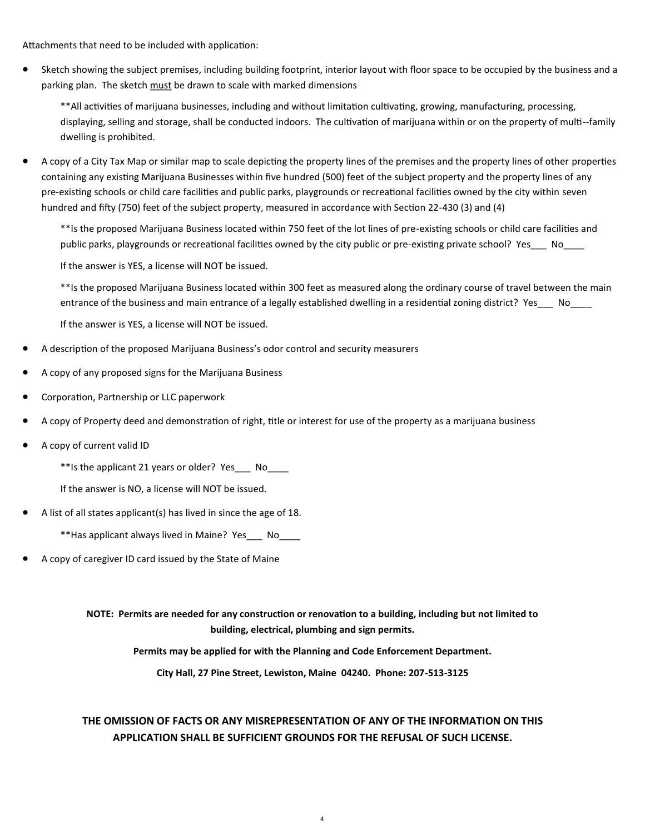Attachments that need to be included with application:

 Sketch showing the subject premises, including building footprint, interior layout with floor space to be occupied by the business and a parking plan. The sketch must be drawn to scale with marked dimensions

\*\*All activities of marijuana businesses, including and without limitation cultivating, growing, manufacturing, processing, displaying, selling and storage, shall be conducted indoors. The cultivation of marijuana within or on the property of multi--family dwelling is prohibited.

 A copy of a City Tax Map or similar map to scale depicting the property lines of the premises and the property lines of other properties containing any existing Marijuana Businesses within five hundred (500) feet of the subject property and the property lines of any pre-existing schools or child care facilities and public parks, playgrounds or recreational facilities owned by the city within seven hundred and fifty (750) feet of the subject property, measured in accordance with Section 22-430 (3) and (4)

\*\*Is the proposed Marijuana Business located within 750 feet of the lot lines of pre-existing schools or child care facilities and public parks, playgrounds or recreational facilities owned by the city public or pre-existing private school? Yes\_\_\_ No\_\_\_\_

If the answer is YES, a license will NOT be issued.

\*\*Is the proposed Marijuana Business located within 300 feet as measured along the ordinary course of travel between the main entrance of the business and main entrance of a legally established dwelling in a residential zoning district? Yes\_\_\_ No\_\_\_

If the answer is YES, a license will NOT be issued.

- A description of the proposed Marijuana Business's odor control and security measurers
- A copy of any proposed signs for the Marijuana Business
- Corporation, Partnership or LLC paperwork
- A copy of Property deed and demonstration of right, title or interest for use of the property as a marijuana business
- A copy of current valid ID

\*\*Is the applicant 21 years or older? Yes\_\_\_ No\_\_\_\_

If the answer is NO, a license will NOT be issued.

A list of all states applicant(s) has lived in since the age of 18.

\*\*Has applicant always lived in Maine? Yes\_\_\_ No\_\_\_\_

A copy of caregiver ID card issued by the State of Maine

**NOTE: Permits are needed for any construction or renovation to a building, including but not limited to building, electrical, plumbing and sign permits.** 

**Permits may be applied for with the Planning and Code Enforcement Department.** 

**City Hall, 27 Pine Street, Lewiston, Maine 04240. Phone: 207-513-3125**

#### **THE OMISSION OF FACTS OR ANY MISREPRESENTATION OF ANY OF THE INFORMATION ON THIS APPLICATION SHALL BE SUFFICIENT GROUNDS FOR THE REFUSAL OF SUCH LICENSE.**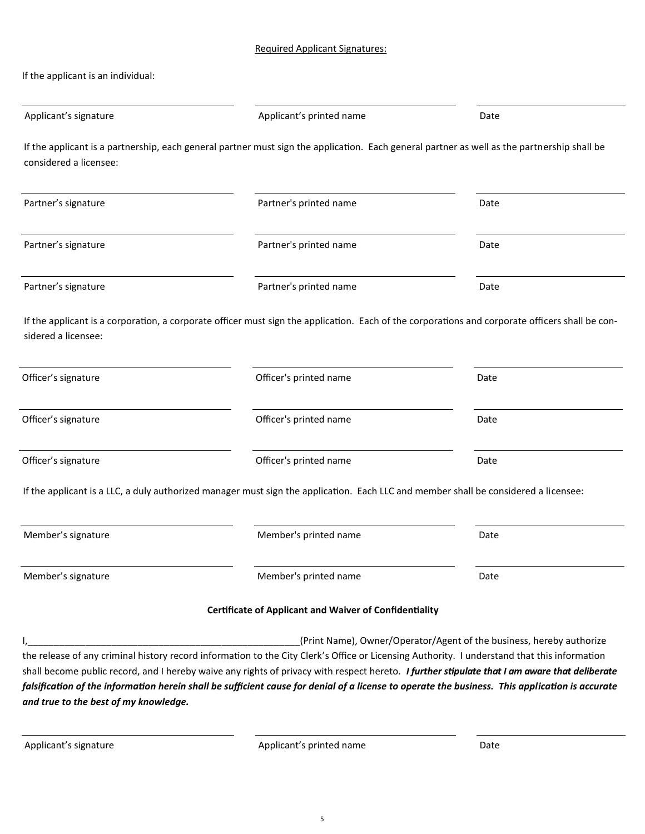| If the applicant is an individual: |  |  |
|------------------------------------|--|--|
|------------------------------------|--|--|

| Applicant's signature                 | Applicant's printed name                                                                                                                        | Date                                                                 |
|---------------------------------------|-------------------------------------------------------------------------------------------------------------------------------------------------|----------------------------------------------------------------------|
| considered a licensee:                | If the applicant is a partnership, each general partner must sign the application. Each general partner as well as the partnership shall be     |                                                                      |
| Partner's signature                   | Partner's printed name                                                                                                                          | Date                                                                 |
| Partner's signature                   | Partner's printed name                                                                                                                          | Date                                                                 |
| Partner's signature                   | Partner's printed name                                                                                                                          | Date                                                                 |
| sidered a licensee:                   | If the applicant is a corporation, a corporate officer must sign the application. Each of the corporations and corporate officers shall be con- |                                                                      |
| Officer's signature                   | Officer's printed name                                                                                                                          | Date                                                                 |
| Officer's signature                   | Officer's printed name                                                                                                                          | Date                                                                 |
| Officer's signature                   | Officer's printed name                                                                                                                          | Date                                                                 |
|                                       | If the applicant is a LLC, a duly authorized manager must sign the application. Each LLC and member shall be considered a licensee:             |                                                                      |
| Member's signature                    | Member's printed name                                                                                                                           | Date                                                                 |
| Member's signature                    | Member's printed name                                                                                                                           | Date                                                                 |
|                                       | <b>Certificate of Applicant and Waiver of Confidentiality</b>                                                                                   |                                                                      |
|                                       |                                                                                                                                                 | (Print Name), Owner/Operator/Agent of the business, hereby authorize |
|                                       | the release of any criminal history record information to the City Clerk's Office or Licensing Authority. I understand that this information    |                                                                      |
|                                       | shall become public record, and I hereby waive any rights of privacy with respect hereto. I further stipulate that I am aware that deliberate   |                                                                      |
|                                       | falsification of the information herein shall be sufficient cause for denial of a license to operate the business. This application is accurate |                                                                      |
| and true to the best of my knowledge. |                                                                                                                                                 |                                                                      |

Applicant's signature and a policant's printed name and Date Date